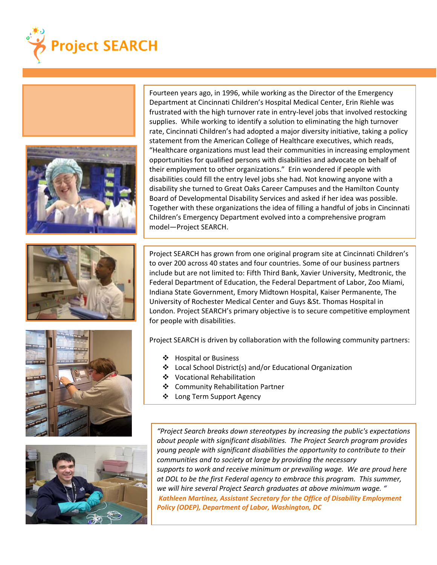









Fourteen years ago, in 1996, while working as the Director of the Emergency Department at Cincinnati Children's Hospital Medical Center, Erin Riehle was frustrated with the high turnover rate in entry-level jobs that involved restocking supplies. While working to identify a solution to eliminating the high turnover rate, Cincinnati Children's had adopted a major diversity initiative, taking a policy statement from the American College of Healthcare executives, which reads, "Healthcare organizations must lead their communities in increasing employment opportunities for qualified persons with disabilities and advocate on behalf of their employment to other organizations." Erin wondered if people with disabilities could fill the entry level jobs she had. Not knowing anyone with a disability she turned to Great Oaks Career Campuses and the Hamilton County Board of Developmental Disability Services and asked if her idea was possible. Together with these organizations the idea of filling a handful of jobs in Cincinnati Children's Emergency Department evolved into a comprehensive program model—Project SEARCH.

Project SEARCH has grown from one original program site at Cincinnati Children's to over 200 across 40 states and four countries. Some of our business partners include but are not limited to: Fifth Third Bank, Xavier University, Medtronic, the Federal Department of Education, the Federal Department of Labor, Zoo Miami, Indiana State Government, Emory Midtown Hospital, Kaiser Permanente, The University of Rochester Medical Center and Guys &St. Thomas Hospital in London. Project SEARCH's primary objective is to secure competitive employment for people with disabilities.

Project SEARCH is driven by collaboration with the following community partners:

❖ Hospital or Business

j

- Local School District(s) and/or Educational Organization
- Vocational Rehabilitation
- Community Rehabilitation Partner
- Long Term Support Agency

*"Project Search breaks down stereotypes by increasing the public's expectations about people with significant disabilities. The Project Search program provides young people with significant disabilities the opportunity to contribute to their communities and to society at large by providing the necessary supports to work and receive minimum or prevailing wage. We are proud here at DOL to be the first Federal agency to embrace this program. This summer, we will hire several Project Search graduates at above minimum wage. " Kathleen Martinez, Assistant Secretary for the Office of Disability Employment Policy (ODEP), Department of Labor, Washington, DC*